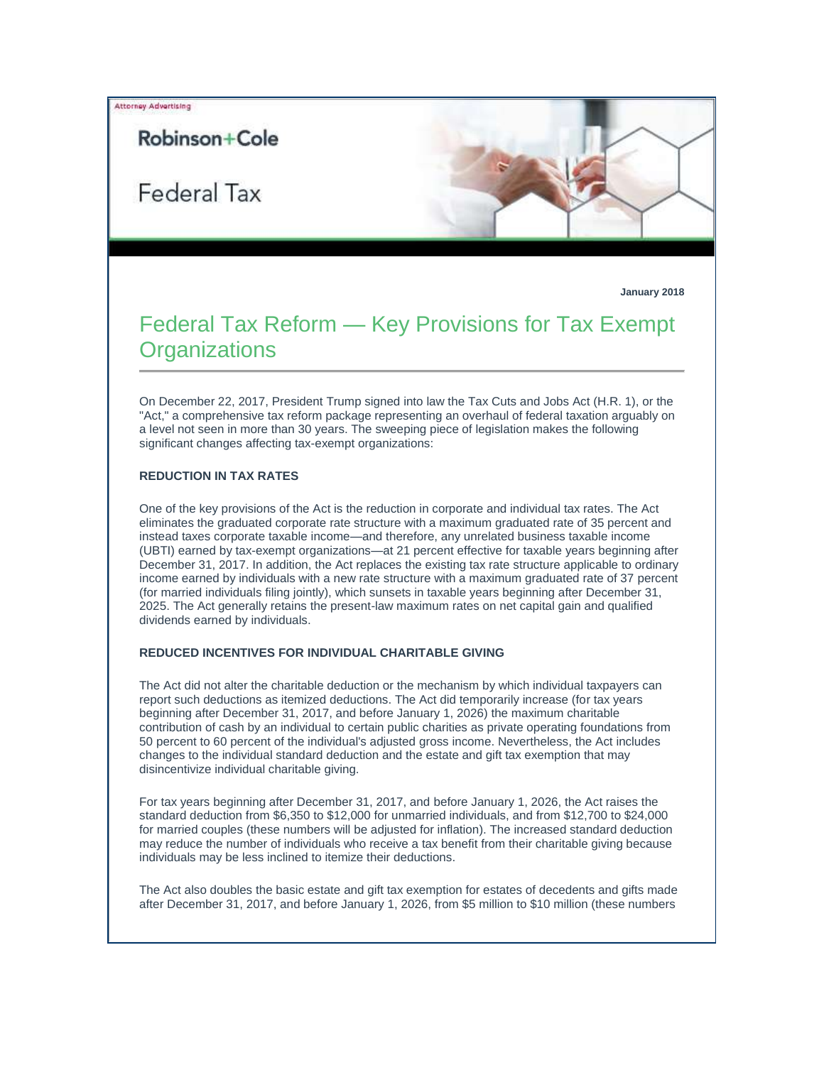# Robinson+Cole

Federal Tax



**January 2018**

# Federal Tax Reform — Key Provisions for Tax Exempt **Organizations**

On December 22, 2017, President Trump signed into law the Tax Cuts and Jobs Act (H.R. 1), or the "Act," a comprehensive tax reform package representing an overhaul of federal taxation arguably on a level not seen in more than 30 years. The sweeping piece of legislation makes the following significant changes affecting tax-exempt organizations:

#### **REDUCTION IN TAX RATES**

One of the key provisions of the Act is the reduction in corporate and individual tax rates. The Act eliminates the graduated corporate rate structure with a maximum graduated rate of 35 percent and instead taxes corporate taxable income—and therefore, any unrelated business taxable income (UBTI) earned by tax-exempt organizations—at 21 percent effective for taxable years beginning after December 31, 2017. In addition, the Act replaces the existing tax rate structure applicable to ordinary income earned by individuals with a new rate structure with a maximum graduated rate of 37 percent (for married individuals filing jointly), which sunsets in taxable years beginning after December 31, 2025. The Act generally retains the present-law maximum rates on net capital gain and qualified dividends earned by individuals.

#### **REDUCED INCENTIVES FOR INDIVIDUAL CHARITABLE GIVING**

The Act did not alter the charitable deduction or the mechanism by which individual taxpayers can report such deductions as itemized deductions. The Act did temporarily increase (for tax years beginning after December 31, 2017, and before January 1, 2026) the maximum charitable contribution of cash by an individual to certain public charities as private operating foundations from 50 percent to 60 percent of the individual's adjusted gross income. Nevertheless, the Act includes changes to the individual standard deduction and the estate and gift tax exemption that may disincentivize individual charitable giving.

For tax years beginning after December 31, 2017, and before January 1, 2026, the Act raises the standard deduction from \$6,350 to \$12,000 for unmarried individuals, and from \$12,700 to \$24,000 for married couples (these numbers will be adjusted for inflation). The increased standard deduction may reduce the number of individuals who receive a tax benefit from their charitable giving because individuals may be less inclined to itemize their deductions.

The Act also doubles the basic estate and gift tax exemption for estates of decedents and gifts made after December 31, 2017, and before January 1, 2026, from \$5 million to \$10 million (these numbers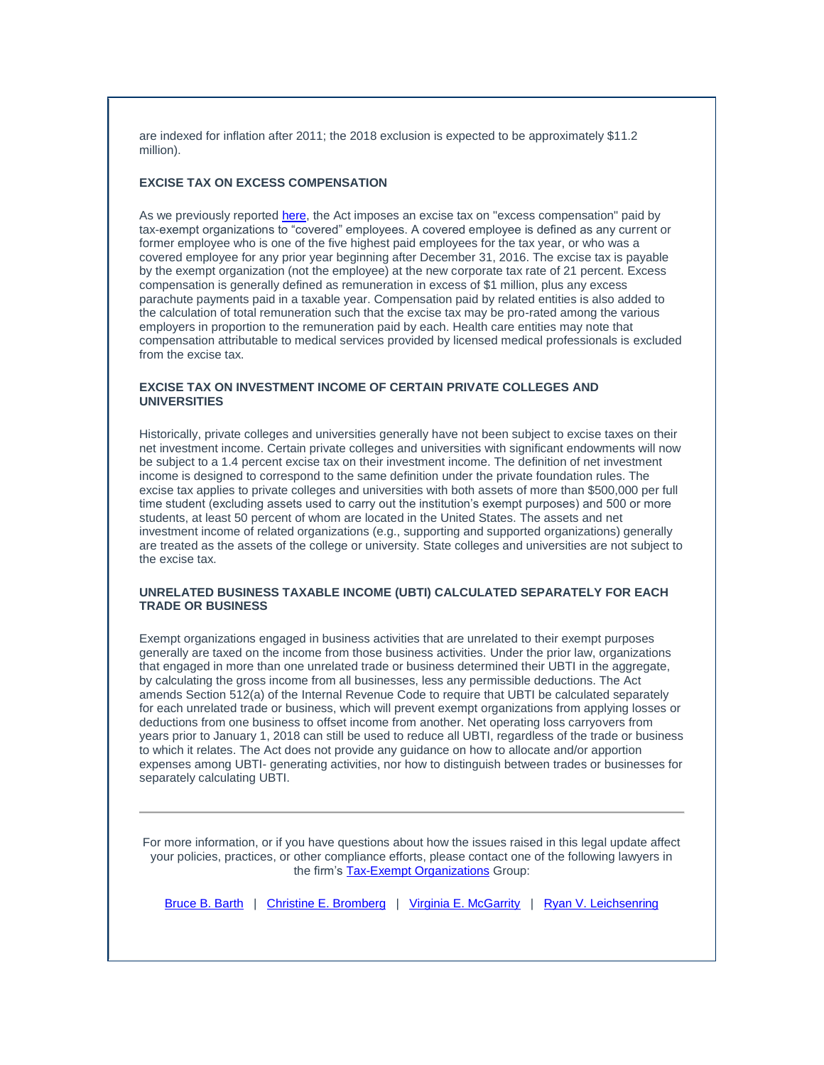are indexed for inflation after 2011; the 2018 exclusion is expected to be approximately \$11.2 million).

# **EXCISE TAX ON EXCESS COMPENSATION**

As we previously reporte[d here,](https://protect-us.mimecast.com/s/-I0mCqxoE9iL2qYcjcKKF?domain=t2806904.omkt.co) the Act imposes an excise tax on "excess compensation" paid by tax-exempt organizations to "covered" employees. A covered employee is defined as any current or former employee who is one of the five highest paid employees for the tax year, or who was a covered employee for any prior year beginning after December 31, 2016. The excise tax is payable by the exempt organization (not the employee) at the new corporate tax rate of 21 percent. Excess compensation is generally defined as remuneration in excess of \$1 million, plus any excess parachute payments paid in a taxable year. Compensation paid by related entities is also added to the calculation of total remuneration such that the excise tax may be pro-rated among the various employers in proportion to the remuneration paid by each. Health care entities may note that compensation attributable to medical services provided by licensed medical professionals is excluded from the excise tax.

### **EXCISE TAX ON INVESTMENT INCOME OF CERTAIN PRIVATE COLLEGES AND UNIVERSITIES**

Historically, private colleges and universities generally have not been subject to excise taxes on their net investment income. Certain private colleges and universities with significant endowments will now be subject to a 1.4 percent excise tax on their investment income. The definition of net investment income is designed to correspond to the same definition under the private foundation rules. The excise tax applies to private colleges and universities with both assets of more than \$500,000 per full time student (excluding assets used to carry out the institution's exempt purposes) and 500 or more students, at least 50 percent of whom are located in the United States. The assets and net investment income of related organizations (e.g., supporting and supported organizations) generally are treated as the assets of the college or university. State colleges and universities are not subject to the excise tax.

# **UNRELATED BUSINESS TAXABLE INCOME (UBTI) CALCULATED SEPARATELY FOR EACH TRADE OR BUSINESS**

Exempt organizations engaged in business activities that are unrelated to their exempt purposes generally are taxed on the income from those business activities. Under the prior law, organizations that engaged in more than one unrelated trade or business determined their UBTI in the aggregate, by calculating the gross income from all businesses, less any permissible deductions. The Act amends Section 512(a) of the Internal Revenue Code to require that UBTI be calculated separately for each unrelated trade or business, which will prevent exempt organizations from applying losses or deductions from one business to offset income from another. Net operating loss carryovers from years prior to January 1, 2018 can still be used to reduce all UBTI, regardless of the trade or business to which it relates. The Act does not provide any guidance on how to allocate and/or apportion expenses among UBTI- generating activities, nor how to distinguish between trades or businesses for separately calculating UBTI.

For more information, or if you have questions about how the issues raised in this legal update affect your policies, practices, or other compliance efforts, please contact one of the following lawyers in the firm's [Tax-Exempt Organizations](https://protect-us.mimecast.com/s/mWsKCrkpG6CwmgQH2XBBi?domain=t2806904.omkt.co) Group:

[Bruce B. Barth](https://protect-us.mimecast.com/s/IbNbCv2wMkSOlQwSvx4Yg?domain=t2806904.omkt.co) | [Christine E. Bromberg](https://protect-us.mimecast.com/s/8L7PCwpxNlH0NBlcmMV8a?domain=t2806904.omkt.co) | [Virginia E. McGarrity](https://protect-us.mimecast.com/s/uVbDCxky0mCmXYEiDZWdY?domain=t2806904.omkt.co) | [Ryan V. Leichsenring](https://protect-us.mimecast.com/s/6FTOCyPz4nt64xOi5L6y0?domain=t2806904.omkt.co)